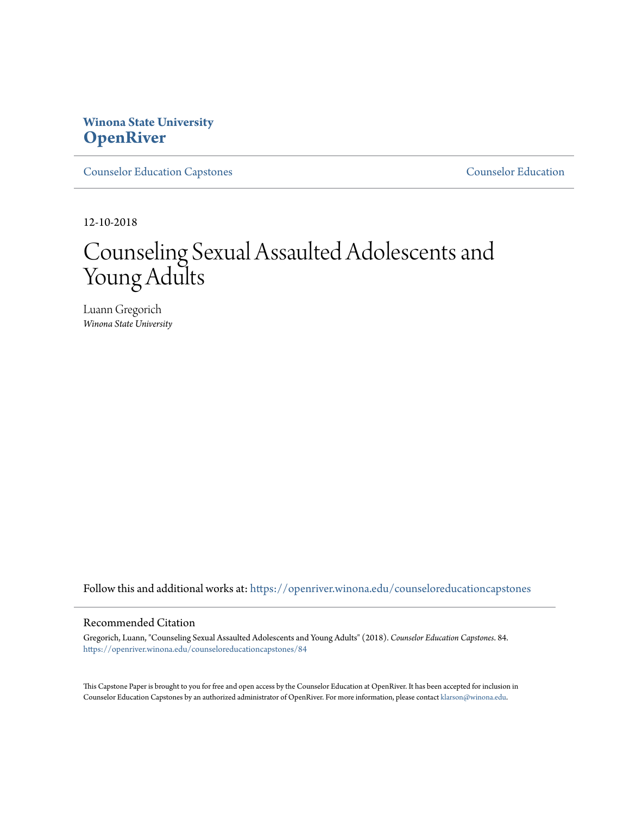# **Winona State University [OpenRiver](https://openriver.winona.edu?utm_source=openriver.winona.edu%2Fcounseloreducationcapstones%2F84&utm_medium=PDF&utm_campaign=PDFCoverPages)**

[Counselor Education Capstones](https://openriver.winona.edu/counseloreducationcapstones?utm_source=openriver.winona.edu%2Fcounseloreducationcapstones%2F84&utm_medium=PDF&utm_campaign=PDFCoverPages) [Counselor Education](https://openriver.winona.edu/counseloreducation?utm_source=openriver.winona.edu%2Fcounseloreducationcapstones%2F84&utm_medium=PDF&utm_campaign=PDFCoverPages)

12-10-2018

# Counseling Sexual Assaulted Adolescents and Young Adults

Luann Gregorich *Winona State University*

Follow this and additional works at: [https://openriver.winona.edu/counseloreducationcapstones](https://openriver.winona.edu/counseloreducationcapstones?utm_source=openriver.winona.edu%2Fcounseloreducationcapstones%2F84&utm_medium=PDF&utm_campaign=PDFCoverPages)

#### Recommended Citation

Gregorich, Luann, "Counseling Sexual Assaulted Adolescents and Young Adults" (2018). *Counselor Education Capstones*. 84. [https://openriver.winona.edu/counseloreducationcapstones/84](https://openriver.winona.edu/counseloreducationcapstones/84?utm_source=openriver.winona.edu%2Fcounseloreducationcapstones%2F84&utm_medium=PDF&utm_campaign=PDFCoverPages)

This Capstone Paper is brought to you for free and open access by the Counselor Education at OpenRiver. It has been accepted for inclusion in Counselor Education Capstones by an authorized administrator of OpenRiver. For more information, please contact [klarson@winona.edu](mailto:klarson@winona.edu).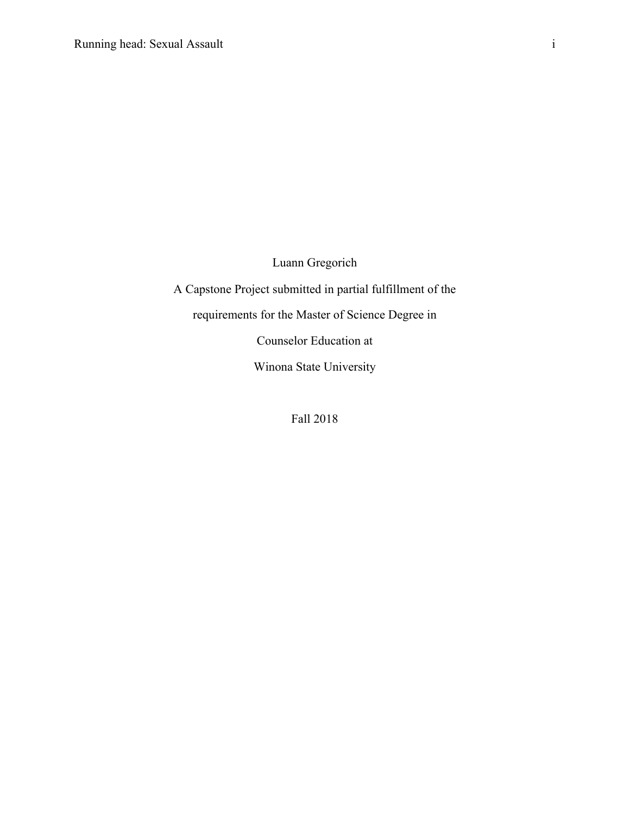Luann Gregorich

A Capstone Project submitted in partial fulfillment of the

requirements for the Master of Science Degree in

Counselor Education at

Winona State University

Fall 2018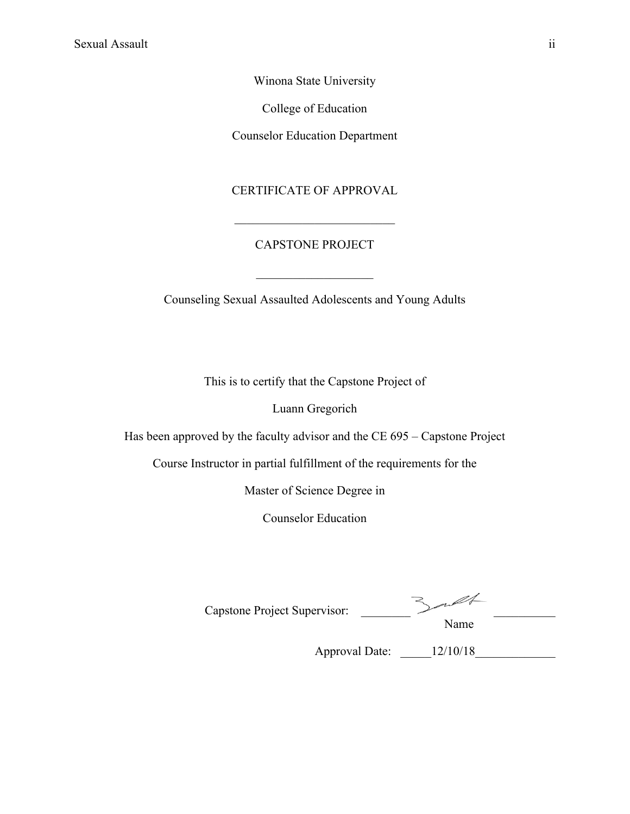Winona State University

College of Education

Counselor Education Department

# CERTIFICATE OF APPROVAL

# CAPSTONE PROJECT

 $\mathcal{L}=\mathcal{L}^{\mathcal{L}}$  , where  $\mathcal{L}^{\mathcal{L}}$  , we have the set of the set of the set of the set of the set of the set of the set of the set of the set of the set of the set of the set of the set of the set of the set of

Counseling Sexual Assaulted Adolescents and Young Adults

This is to certify that the Capstone Project of

Luann Gregorich

Has been approved by the faculty advisor and the CE 695 – Capstone Project

Course Instructor in partial fulfillment of the requirements for the

Master of Science Degree in

Counselor Education

| Capstone Project Supervisor: |  |
|------------------------------|--|

Name

Approval Date:  $12/10/18$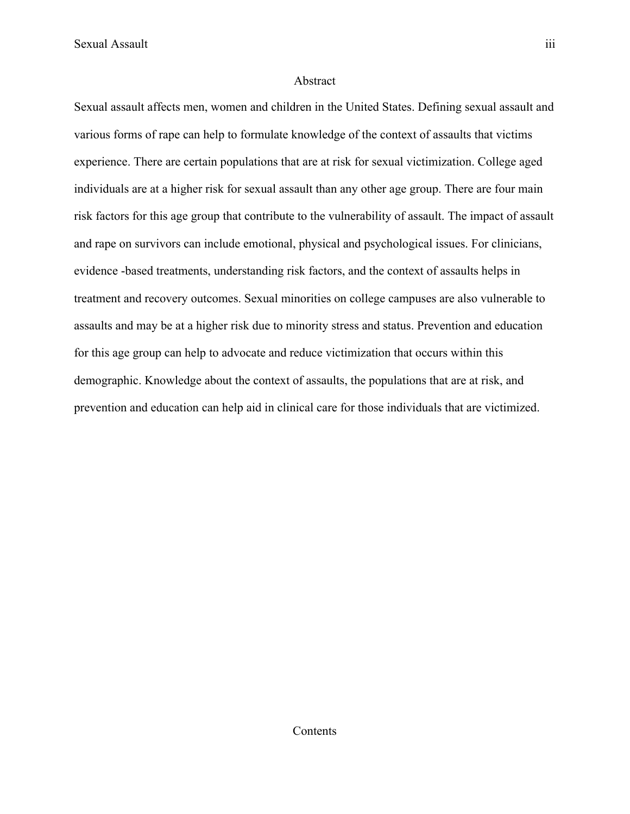Sexual Assault iii

#### Abstract

Sexual assault affects men, women and children in the United States. Defining sexual assault and various forms of rape can help to formulate knowledge of the context of assaults that victims experience. There are certain populations that are at risk for sexual victimization. College aged individuals are at a higher risk for sexual assault than any other age group. There are four main risk factors for this age group that contribute to the vulnerability of assault. The impact of assault and rape on survivors can include emotional, physical and psychological issues. For clinicians, evidence -based treatments, understanding risk factors, and the context of assaults helps in treatment and recovery outcomes. Sexual minorities on college campuses are also vulnerable to assaults and may be at a higher risk due to minority stress and status. Prevention and education for this age group can help to advocate and reduce victimization that occurs within this demographic. Knowledge about the context of assaults, the populations that are at risk, and prevention and education can help aid in clinical care for those individuals that are victimized.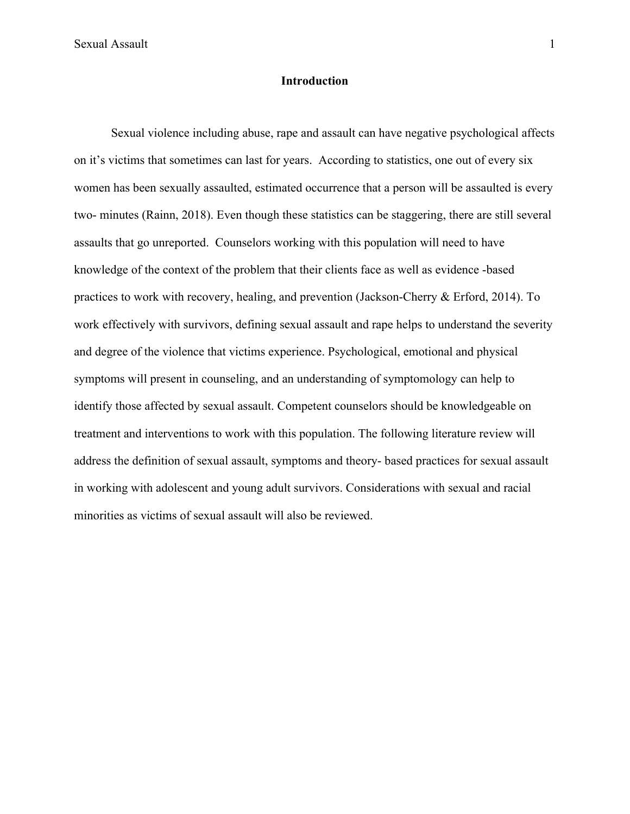Sexual Assault 1 and 1 and 1 and 1 and 1 and 1 and 1 and 1 and 1 and 1 and 1 and 1 and 1 and 1 and 1 and 1 and 1 and 1 and 1 and 1 and 1 and 1 and 1 and 1 and 1 and 1 and 1 and 1 and 1 and 1 and 1 and 1 and 1 and 1 and 1 a

### **Introduction**

Sexual violence including abuse, rape and assault can have negative psychological affects on it's victims that sometimes can last for years. According to statistics, one out of every six women has been sexually assaulted, estimated occurrence that a person will be assaulted is every two- minutes (Rainn, 2018). Even though these statistics can be staggering, there are still several assaults that go unreported. Counselors working with this population will need to have knowledge of the context of the problem that their clients face as well as evidence -based practices to work with recovery, healing, and prevention (Jackson-Cherry & Erford, 2014). To work effectively with survivors, defining sexual assault and rape helps to understand the severity and degree of the violence that victims experience. Psychological, emotional and physical symptoms will present in counseling, and an understanding of symptomology can help to identify those affected by sexual assault. Competent counselors should be knowledgeable on treatment and interventions to work with this population. The following literature review will address the definition of sexual assault, symptoms and theory- based practices for sexual assault in working with adolescent and young adult survivors. Considerations with sexual and racial minorities as victims of sexual assault will also be reviewed.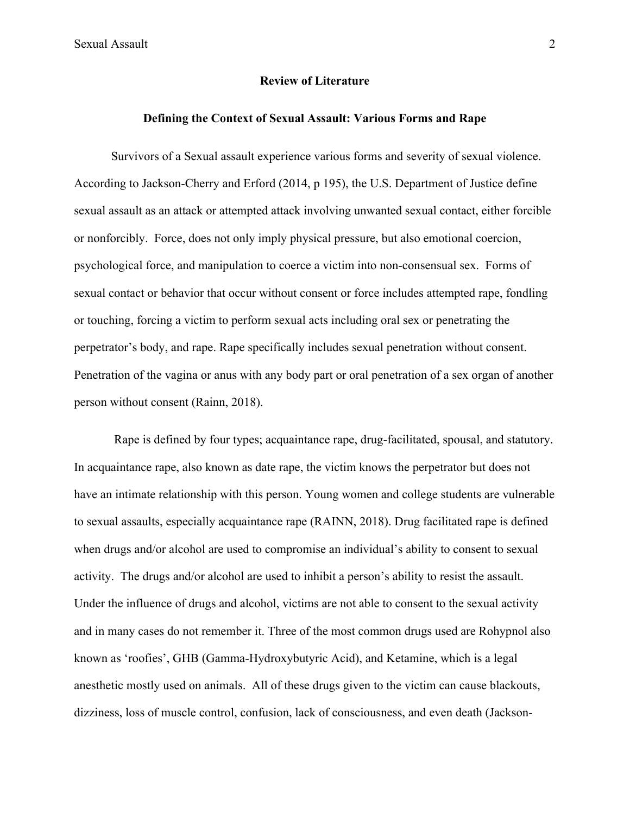Sexual Assault 2

#### **Review of Literature**

# **Defining the Context of Sexual Assault: Various Forms and Rape**

Survivors of a Sexual assault experience various forms and severity of sexual violence. According to Jackson-Cherry and Erford (2014, p 195), the U.S. Department of Justice define sexual assault as an attack or attempted attack involving unwanted sexual contact, either forcible or nonforcibly. Force, does not only imply physical pressure, but also emotional coercion, psychological force, and manipulation to coerce a victim into non-consensual sex. Forms of sexual contact or behavior that occur without consent or force includes attempted rape, fondling or touching, forcing a victim to perform sexual acts including oral sex or penetrating the perpetrator's body, and rape. Rape specifically includes sexual penetration without consent. Penetration of the vagina or anus with any body part or oral penetration of a sex organ of another person without consent (Rainn, 2018).

Rape is defined by four types; acquaintance rape, drug-facilitated, spousal, and statutory. In acquaintance rape, also known as date rape, the victim knows the perpetrator but does not have an intimate relationship with this person. Young women and college students are vulnerable to sexual assaults, especially acquaintance rape (RAINN, 2018). Drug facilitated rape is defined when drugs and/or alcohol are used to compromise an individual's ability to consent to sexual activity. The drugs and/or alcohol are used to inhibit a person's ability to resist the assault. Under the influence of drugs and alcohol, victims are not able to consent to the sexual activity and in many cases do not remember it. Three of the most common drugs used are Rohypnol also known as 'roofies', GHB (Gamma-Hydroxybutyric Acid), and Ketamine, which is a legal anesthetic mostly used on animals. All of these drugs given to the victim can cause blackouts, dizziness, loss of muscle control, confusion, lack of consciousness, and even death (Jackson-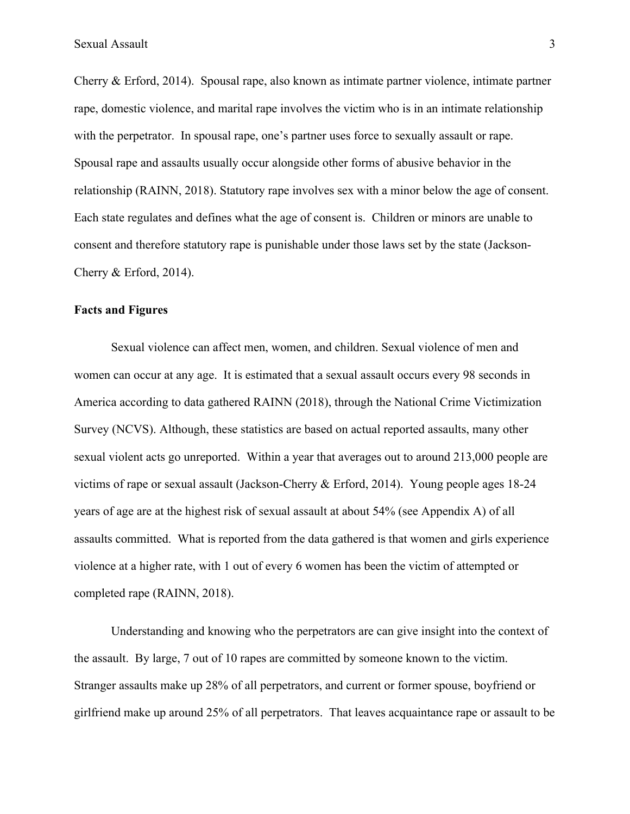Cherry & Erford, 2014). Spousal rape, also known as intimate partner violence, intimate partner rape, domestic violence, and marital rape involves the victim who is in an intimate relationship with the perpetrator. In spousal rape, one's partner uses force to sexually assault or rape. Spousal rape and assaults usually occur alongside other forms of abusive behavior in the relationship (RAINN, 2018). Statutory rape involves sex with a minor below the age of consent. Each state regulates and defines what the age of consent is. Children or minors are unable to consent and therefore statutory rape is punishable under those laws set by the state (Jackson-Cherry & Erford, 2014).

#### **Facts and Figures**

Sexual violence can affect men, women, and children. Sexual violence of men and women can occur at any age. It is estimated that a sexual assault occurs every 98 seconds in America according to data gathered RAINN (2018), through the National Crime Victimization Survey (NCVS). Although, these statistics are based on actual reported assaults, many other sexual violent acts go unreported. Within a year that averages out to around 213,000 people are victims of rape or sexual assault (Jackson-Cherry & Erford, 2014). Young people ages 18-24 years of age are at the highest risk of sexual assault at about 54% (see Appendix A) of all assaults committed. What is reported from the data gathered is that women and girls experience violence at a higher rate, with 1 out of every 6 women has been the victim of attempted or completed rape (RAINN, 2018).

Understanding and knowing who the perpetrators are can give insight into the context of the assault. By large, 7 out of 10 rapes are committed by someone known to the victim. Stranger assaults make up 28% of all perpetrators, and current or former spouse, boyfriend or girlfriend make up around 25% of all perpetrators. That leaves acquaintance rape or assault to be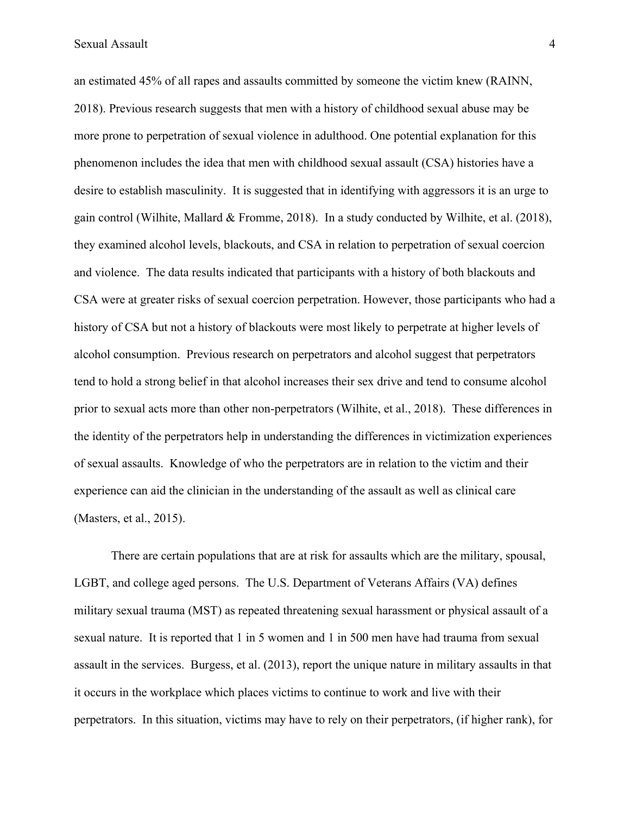an estimated 45% of all rapes and assaults committed by someone the victim knew (RAINN, 2018). Previous research suggests that men with a history of childhood sexual abuse may be more prone to perpetration of sexual violence in adulthood. One potential explanation for this phenomenon includes the idea that men with childhood sexual assault (CSA) histories have a desire to establish masculinity. It is suggested that in identifying with aggressors it is an urge to gain control (Wilhite, Mallard & Fromme, 2018). In a study conducted by Wilhite, et al. (2018), they examined alcohol levels, blackouts, and CSA in relation to perpetration of sexual coercion and violence. The data results indicated that participants with a history of both blackouts and CSA were at greater risks of sexual coercion perpetration. However, those participants who had a history of CSA but not a history of blackouts were most likely to perpetrate at higher levels of alcohol consumption. Previous research on perpetrators and alcohol suggest that perpetrators tend to hold a strong belief in that alcohol increases their sex drive and tend to consume alcohol prior to sexual acts more than other non-perpetrators (Wilhite, et al., 2018). These differences in the identity of the perpetrators help in understanding the differences in victimization experiences of sexual assaults. Knowledge of who the perpetrators are in relation to the victim and their experience can aid the clinician in the understanding of the assault as well as clinical care (Masters, et al., 2015).

There are certain populations that are at risk for assaults which are the military, spousal, LGBT, and college aged persons. The U.S. Department of Veterans Affairs (VA) defines military sexual trauma (MST) as repeated threatening sexual harassment or physical assault of a sexual nature. It is reported that 1 in 5 women and 1 in 500 men have had trauma from sexual assault in the services. Burgess, et al. (2013), report the unique nature in military assaults in that it occurs in the workplace which places victims to continue to work and live with their perpetrators. In this situation, victims may have to rely on their perpetrators, (if higher rank), for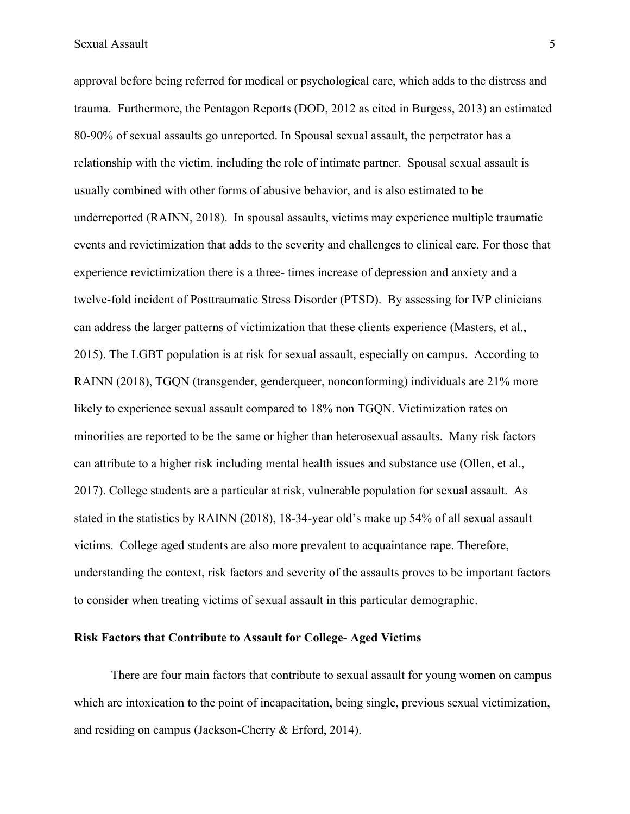approval before being referred for medical or psychological care, which adds to the distress and trauma. Furthermore, the Pentagon Reports (DOD, 2012 as cited in Burgess, 2013) an estimated 80-90% of sexual assaults go unreported. In Spousal sexual assault, the perpetrator has a relationship with the victim, including the role of intimate partner. Spousal sexual assault is usually combined with other forms of abusive behavior, and is also estimated to be underreported (RAINN, 2018). In spousal assaults, victims may experience multiple traumatic events and revictimization that adds to the severity and challenges to clinical care. For those that experience revictimization there is a three- times increase of depression and anxiety and a twelve-fold incident of Posttraumatic Stress Disorder (PTSD). By assessing for IVP clinicians can address the larger patterns of victimization that these clients experience (Masters, et al., 2015). The LGBT population is at risk for sexual assault, especially on campus. According to RAINN (2018), TGQN (transgender, genderqueer, nonconforming) individuals are 21% more likely to experience sexual assault compared to 18% non TGQN. Victimization rates on minorities are reported to be the same or higher than heterosexual assaults. Many risk factors can attribute to a higher risk including mental health issues and substance use (Ollen, et al., 2017). College students are a particular at risk, vulnerable population for sexual assault. As stated in the statistics by RAINN (2018), 18-34-year old's make up 54% of all sexual assault victims. College aged students are also more prevalent to acquaintance rape. Therefore, understanding the context, risk factors and severity of the assaults proves to be important factors to consider when treating victims of sexual assault in this particular demographic.

#### **Risk Factors that Contribute to Assault for College- Aged Victims**

There are four main factors that contribute to sexual assault for young women on campus which are intoxication to the point of incapacitation, being single, previous sexual victimization, and residing on campus (Jackson-Cherry & Erford, 2014).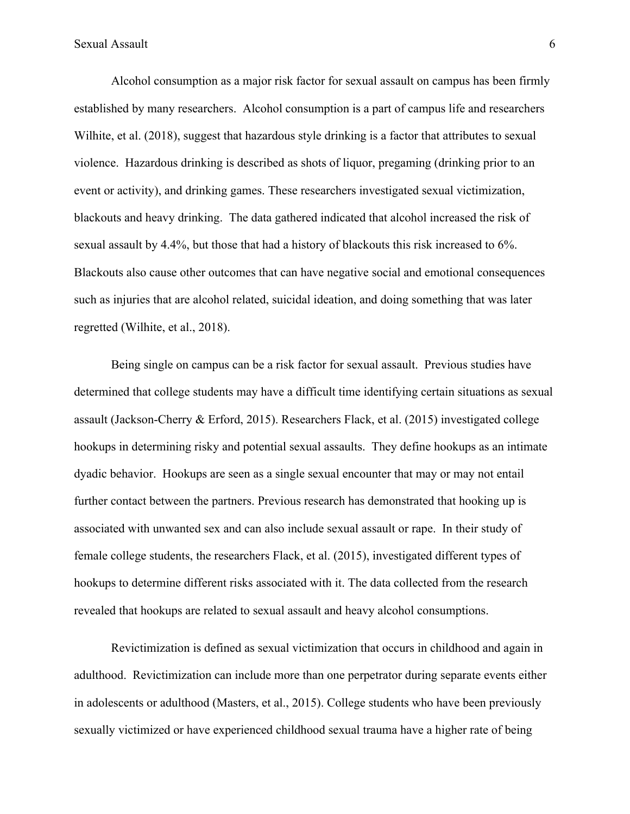Alcohol consumption as a major risk factor for sexual assault on campus has been firmly established by many researchers. Alcohol consumption is a part of campus life and researchers Wilhite, et al. (2018), suggest that hazardous style drinking is a factor that attributes to sexual violence. Hazardous drinking is described as shots of liquor, pregaming (drinking prior to an event or activity), and drinking games. These researchers investigated sexual victimization, blackouts and heavy drinking. The data gathered indicated that alcohol increased the risk of sexual assault by 4.4%, but those that had a history of blackouts this risk increased to 6%. Blackouts also cause other outcomes that can have negative social and emotional consequences such as injuries that are alcohol related, suicidal ideation, and doing something that was later regretted (Wilhite, et al., 2018).

Being single on campus can be a risk factor for sexual assault. Previous studies have determined that college students may have a difficult time identifying certain situations as sexual assault (Jackson-Cherry & Erford, 2015). Researchers Flack, et al. (2015) investigated college hookups in determining risky and potential sexual assaults. They define hookups as an intimate dyadic behavior. Hookups are seen as a single sexual encounter that may or may not entail further contact between the partners. Previous research has demonstrated that hooking up is associated with unwanted sex and can also include sexual assault or rape. In their study of female college students, the researchers Flack, et al. (2015), investigated different types of hookups to determine different risks associated with it. The data collected from the research revealed that hookups are related to sexual assault and heavy alcohol consumptions.

Revictimization is defined as sexual victimization that occurs in childhood and again in adulthood. Revictimization can include more than one perpetrator during separate events either in adolescents or adulthood (Masters, et al., 2015). College students who have been previously sexually victimized or have experienced childhood sexual trauma have a higher rate of being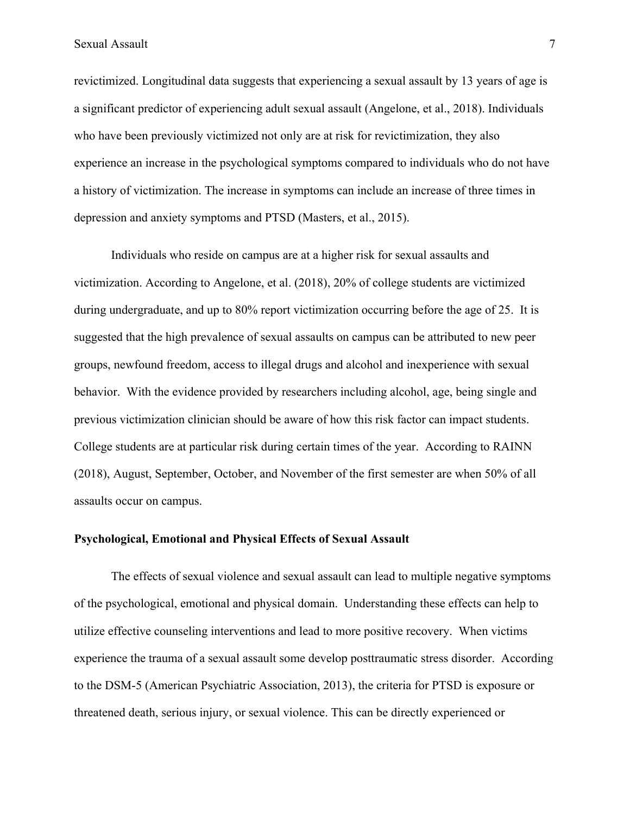Sexual Assault 7 7

revictimized. Longitudinal data suggests that experiencing a sexual assault by 13 years of age is a significant predictor of experiencing adult sexual assault (Angelone, et al., 2018). Individuals who have been previously victimized not only are at risk for revictimization, they also experience an increase in the psychological symptoms compared to individuals who do not have a history of victimization. The increase in symptoms can include an increase of three times in depression and anxiety symptoms and PTSD (Masters, et al., 2015).

Individuals who reside on campus are at a higher risk for sexual assaults and victimization. According to Angelone, et al. (2018), 20% of college students are victimized during undergraduate, and up to 80% report victimization occurring before the age of 25. It is suggested that the high prevalence of sexual assaults on campus can be attributed to new peer groups, newfound freedom, access to illegal drugs and alcohol and inexperience with sexual behavior. With the evidence provided by researchers including alcohol, age, being single and previous victimization clinician should be aware of how this risk factor can impact students. College students are at particular risk during certain times of the year. According to RAINN (2018), August, September, October, and November of the first semester are when 50% of all assaults occur on campus.

# **Psychological, Emotional and Physical Effects of Sexual Assault**

The effects of sexual violence and sexual assault can lead to multiple negative symptoms of the psychological, emotional and physical domain. Understanding these effects can help to utilize effective counseling interventions and lead to more positive recovery. When victims experience the trauma of a sexual assault some develop posttraumatic stress disorder. According to the DSM-5 (American Psychiatric Association, 2013), the criteria for PTSD is exposure or threatened death, serious injury, or sexual violence. This can be directly experienced or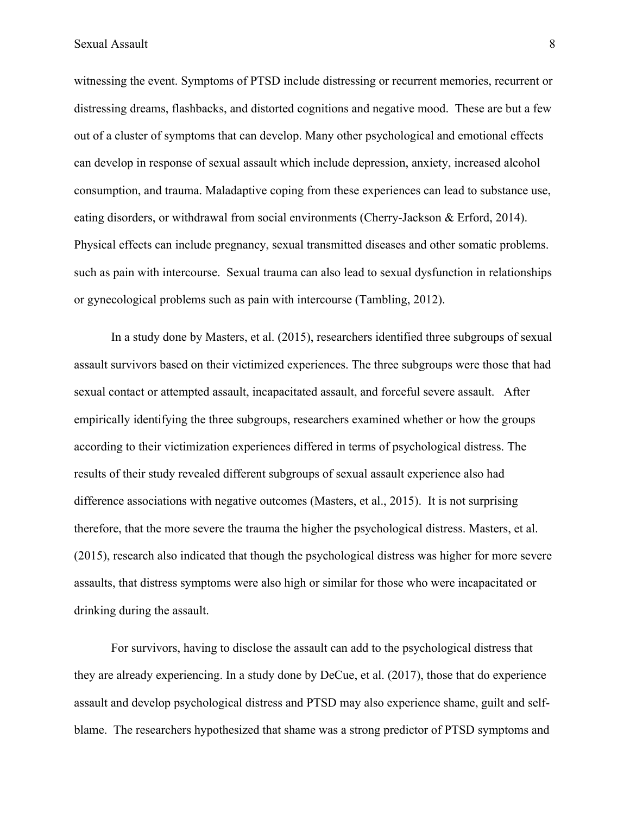witnessing the event. Symptoms of PTSD include distressing or recurrent memories, recurrent or distressing dreams, flashbacks, and distorted cognitions and negative mood. These are but a few out of a cluster of symptoms that can develop. Many other psychological and emotional effects can develop in response of sexual assault which include depression, anxiety, increased alcohol consumption, and trauma. Maladaptive coping from these experiences can lead to substance use, eating disorders, or withdrawal from social environments (Cherry-Jackson & Erford, 2014). Physical effects can include pregnancy, sexual transmitted diseases and other somatic problems. such as pain with intercourse. Sexual trauma can also lead to sexual dysfunction in relationships or gynecological problems such as pain with intercourse (Tambling, 2012).

In a study done by Masters, et al. (2015), researchers identified three subgroups of sexual assault survivors based on their victimized experiences. The three subgroups were those that had sexual contact or attempted assault, incapacitated assault, and forceful severe assault. After empirically identifying the three subgroups, researchers examined whether or how the groups according to their victimization experiences differed in terms of psychological distress. The results of their study revealed different subgroups of sexual assault experience also had difference associations with negative outcomes (Masters, et al., 2015). It is not surprising therefore, that the more severe the trauma the higher the psychological distress. Masters, et al. (2015), research also indicated that though the psychological distress was higher for more severe assaults, that distress symptoms were also high or similar for those who were incapacitated or drinking during the assault.

For survivors, having to disclose the assault can add to the psychological distress that they are already experiencing. In a study done by DeCue, et al. (2017), those that do experience assault and develop psychological distress and PTSD may also experience shame, guilt and selfblame. The researchers hypothesized that shame was a strong predictor of PTSD symptoms and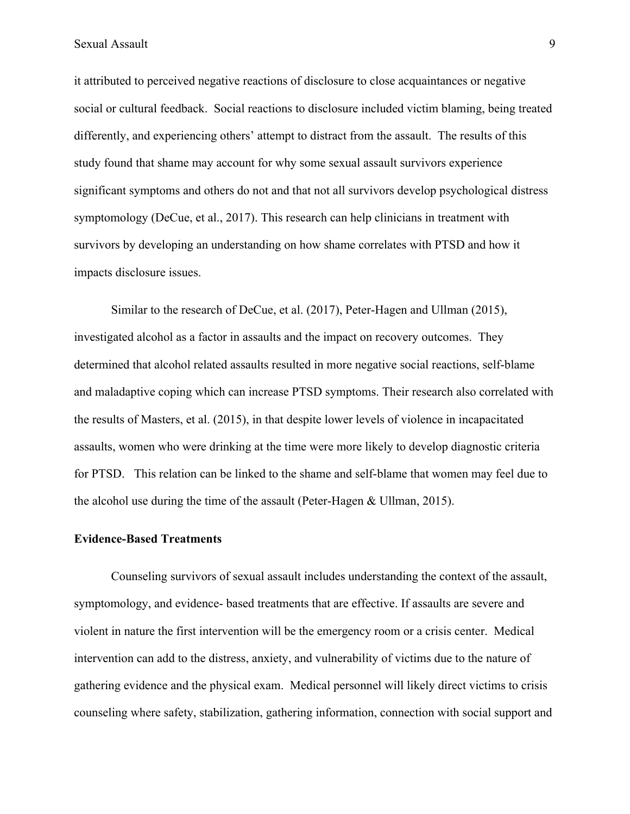Sexual Assault 9

it attributed to perceived negative reactions of disclosure to close acquaintances or negative social or cultural feedback. Social reactions to disclosure included victim blaming, being treated differently, and experiencing others' attempt to distract from the assault. The results of this study found that shame may account for why some sexual assault survivors experience significant symptoms and others do not and that not all survivors develop psychological distress symptomology (DeCue, et al., 2017). This research can help clinicians in treatment with survivors by developing an understanding on how shame correlates with PTSD and how it impacts disclosure issues.

Similar to the research of DeCue, et al. (2017), Peter-Hagen and Ullman (2015), investigated alcohol as a factor in assaults and the impact on recovery outcomes. They determined that alcohol related assaults resulted in more negative social reactions, self-blame and maladaptive coping which can increase PTSD symptoms. Their research also correlated with the results of Masters, et al. (2015), in that despite lower levels of violence in incapacitated assaults, women who were drinking at the time were more likely to develop diagnostic criteria for PTSD. This relation can be linked to the shame and self-blame that women may feel due to the alcohol use during the time of the assault (Peter-Hagen & Ullman, 2015).

#### **Evidence-Based Treatments**

Counseling survivors of sexual assault includes understanding the context of the assault, symptomology, and evidence- based treatments that are effective. If assaults are severe and violent in nature the first intervention will be the emergency room or a crisis center. Medical intervention can add to the distress, anxiety, and vulnerability of victims due to the nature of gathering evidence and the physical exam. Medical personnel will likely direct victims to crisis counseling where safety, stabilization, gathering information, connection with social support and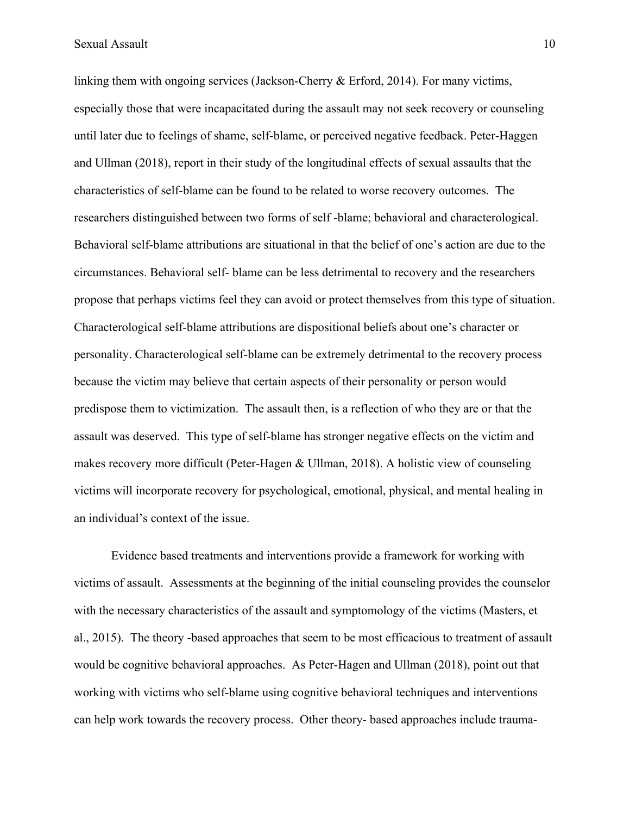Sexual Assault 10

linking them with ongoing services (Jackson-Cherry & Erford, 2014). For many victims, especially those that were incapacitated during the assault may not seek recovery or counseling until later due to feelings of shame, self-blame, or perceived negative feedback. Peter-Haggen and Ullman (2018), report in their study of the longitudinal effects of sexual assaults that the characteristics of self-blame can be found to be related to worse recovery outcomes. The researchers distinguished between two forms of self -blame; behavioral and characterological. Behavioral self-blame attributions are situational in that the belief of one's action are due to the circumstances. Behavioral self- blame can be less detrimental to recovery and the researchers propose that perhaps victims feel they can avoid or protect themselves from this type of situation. Characterological self-blame attributions are dispositional beliefs about one's character or personality. Characterological self-blame can be extremely detrimental to the recovery process because the victim may believe that certain aspects of their personality or person would predispose them to victimization. The assault then, is a reflection of who they are or that the assault was deserved. This type of self-blame has stronger negative effects on the victim and makes recovery more difficult (Peter-Hagen & Ullman, 2018). A holistic view of counseling victims will incorporate recovery for psychological, emotional, physical, and mental healing in an individual's context of the issue.

Evidence based treatments and interventions provide a framework for working with victims of assault. Assessments at the beginning of the initial counseling provides the counselor with the necessary characteristics of the assault and symptomology of the victims (Masters, et al., 2015). The theory -based approaches that seem to be most efficacious to treatment of assault would be cognitive behavioral approaches. As Peter-Hagen and Ullman (2018), point out that working with victims who self-blame using cognitive behavioral techniques and interventions can help work towards the recovery process. Other theory- based approaches include trauma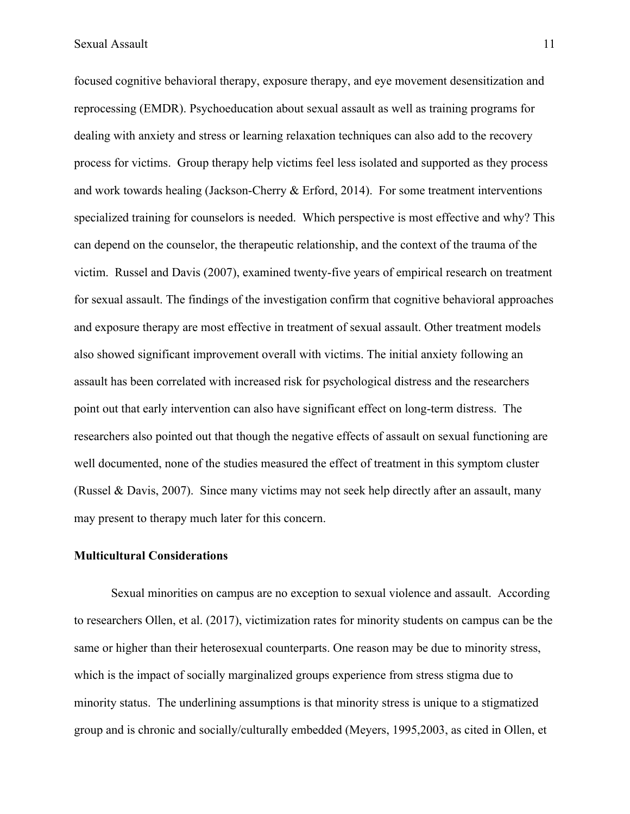focused cognitive behavioral therapy, exposure therapy, and eye movement desensitization and reprocessing (EMDR). Psychoeducation about sexual assault as well as training programs for dealing with anxiety and stress or learning relaxation techniques can also add to the recovery process for victims. Group therapy help victims feel less isolated and supported as they process and work towards healing (Jackson-Cherry & Erford, 2014). For some treatment interventions specialized training for counselors is needed. Which perspective is most effective and why? This can depend on the counselor, the therapeutic relationship, and the context of the trauma of the victim. Russel and Davis (2007), examined twenty-five years of empirical research on treatment for sexual assault. The findings of the investigation confirm that cognitive behavioral approaches and exposure therapy are most effective in treatment of sexual assault. Other treatment models also showed significant improvement overall with victims. The initial anxiety following an assault has been correlated with increased risk for psychological distress and the researchers point out that early intervention can also have significant effect on long-term distress. The researchers also pointed out that though the negative effects of assault on sexual functioning are well documented, none of the studies measured the effect of treatment in this symptom cluster (Russel & Davis, 2007). Since many victims may not seek help directly after an assault, many may present to therapy much later for this concern.

#### **Multicultural Considerations**

Sexual minorities on campus are no exception to sexual violence and assault. According to researchers Ollen, et al. (2017), victimization rates for minority students on campus can be the same or higher than their heterosexual counterparts. One reason may be due to minority stress, which is the impact of socially marginalized groups experience from stress stigma due to minority status. The underlining assumptions is that minority stress is unique to a stigmatized group and is chronic and socially/culturally embedded (Meyers, 1995,2003, as cited in Ollen, et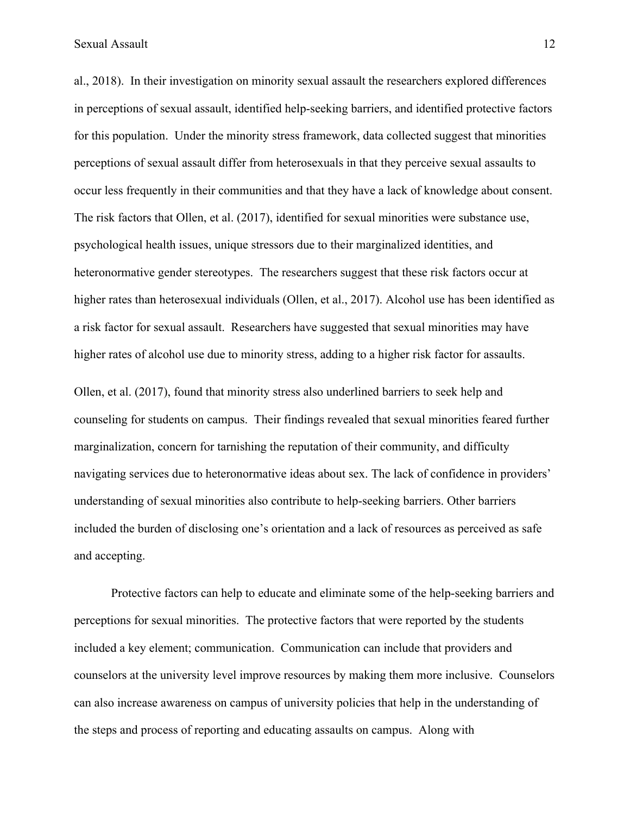Sexual Assault 12

al., 2018). In their investigation on minority sexual assault the researchers explored differences in perceptions of sexual assault, identified help-seeking barriers, and identified protective factors for this population. Under the minority stress framework, data collected suggest that minorities perceptions of sexual assault differ from heterosexuals in that they perceive sexual assaults to occur less frequently in their communities and that they have a lack of knowledge about consent. The risk factors that Ollen, et al. (2017), identified for sexual minorities were substance use, psychological health issues, unique stressors due to their marginalized identities, and heteronormative gender stereotypes. The researchers suggest that these risk factors occur at higher rates than heterosexual individuals (Ollen, et al., 2017). Alcohol use has been identified as a risk factor for sexual assault. Researchers have suggested that sexual minorities may have higher rates of alcohol use due to minority stress, adding to a higher risk factor for assaults.

Ollen, et al. (2017), found that minority stress also underlined barriers to seek help and counseling for students on campus. Their findings revealed that sexual minorities feared further marginalization, concern for tarnishing the reputation of their community, and difficulty navigating services due to heteronormative ideas about sex. The lack of confidence in providers' understanding of sexual minorities also contribute to help-seeking barriers. Other barriers included the burden of disclosing one's orientation and a lack of resources as perceived as safe and accepting.

Protective factors can help to educate and eliminate some of the help-seeking barriers and perceptions for sexual minorities. The protective factors that were reported by the students included a key element; communication. Communication can include that providers and counselors at the university level improve resources by making them more inclusive. Counselors can also increase awareness on campus of university policies that help in the understanding of the steps and process of reporting and educating assaults on campus. Along with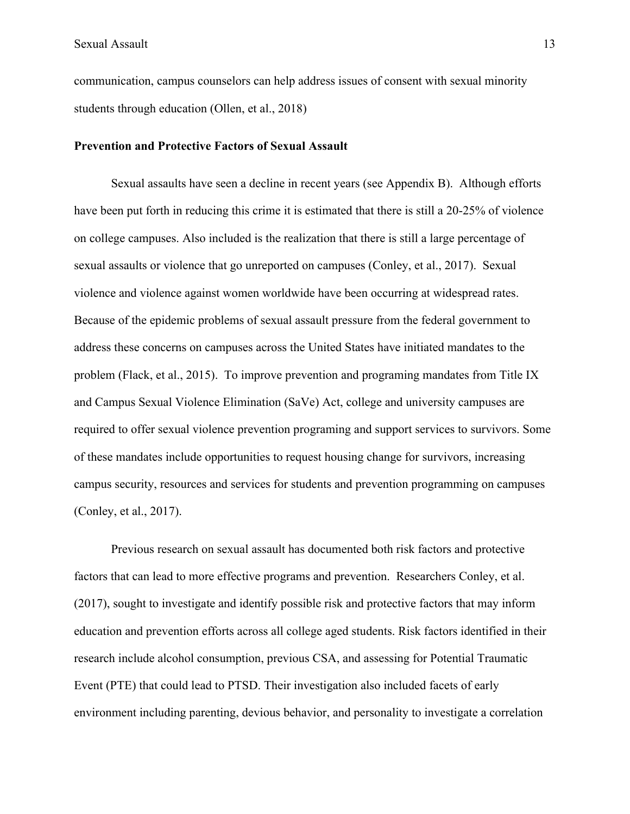communication, campus counselors can help address issues of consent with sexual minority students through education (Ollen, et al., 2018)

#### **Prevention and Protective Factors of Sexual Assault**

Sexual assaults have seen a decline in recent years (see Appendix B). Although efforts have been put forth in reducing this crime it is estimated that there is still a 20-25% of violence on college campuses. Also included is the realization that there is still a large percentage of sexual assaults or violence that go unreported on campuses (Conley, et al., 2017). Sexual violence and violence against women worldwide have been occurring at widespread rates. Because of the epidemic problems of sexual assault pressure from the federal government to address these concerns on campuses across the United States have initiated mandates to the problem (Flack, et al., 2015). To improve prevention and programing mandates from Title IX and Campus Sexual Violence Elimination (SaVe) Act, college and university campuses are required to offer sexual violence prevention programing and support services to survivors. Some of these mandates include opportunities to request housing change for survivors, increasing campus security, resources and services for students and prevention programming on campuses (Conley, et al., 2017).

Previous research on sexual assault has documented both risk factors and protective factors that can lead to more effective programs and prevention. Researchers Conley, et al. (2017), sought to investigate and identify possible risk and protective factors that may inform education and prevention efforts across all college aged students. Risk factors identified in their research include alcohol consumption, previous CSA, and assessing for Potential Traumatic Event (PTE) that could lead to PTSD. Their investigation also included facets of early environment including parenting, devious behavior, and personality to investigate a correlation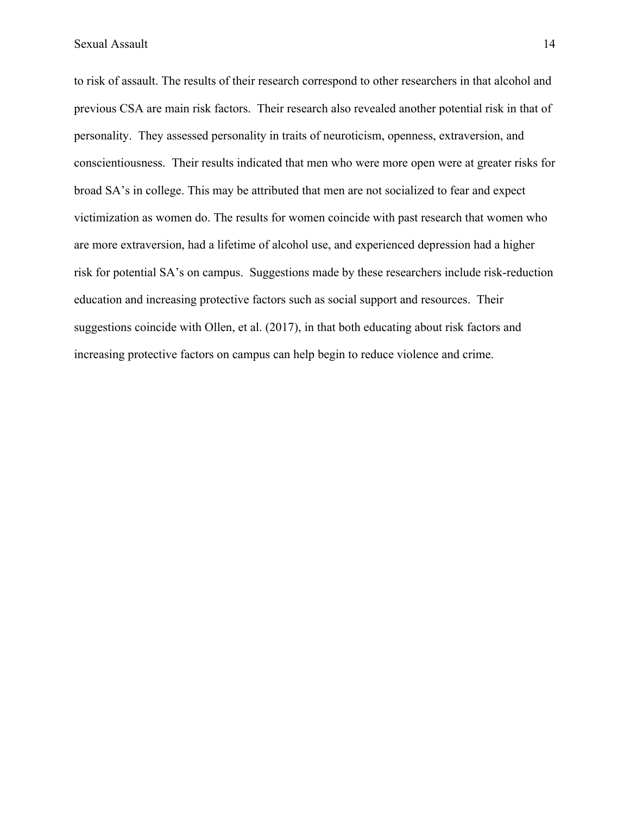to risk of assault. The results of their research correspond to other researchers in that alcohol and previous CSA are main risk factors. Their research also revealed another potential risk in that of personality. They assessed personality in traits of neuroticism, openness, extraversion, and conscientiousness. Their results indicated that men who were more open were at greater risks for broad SA's in college. This may be attributed that men are not socialized to fear and expect victimization as women do. The results for women coincide with past research that women who are more extraversion, had a lifetime of alcohol use, and experienced depression had a higher risk for potential SA's on campus. Suggestions made by these researchers include risk-reduction education and increasing protective factors such as social support and resources. Their suggestions coincide with Ollen, et al. (2017), in that both educating about risk factors and increasing protective factors on campus can help begin to reduce violence and crime.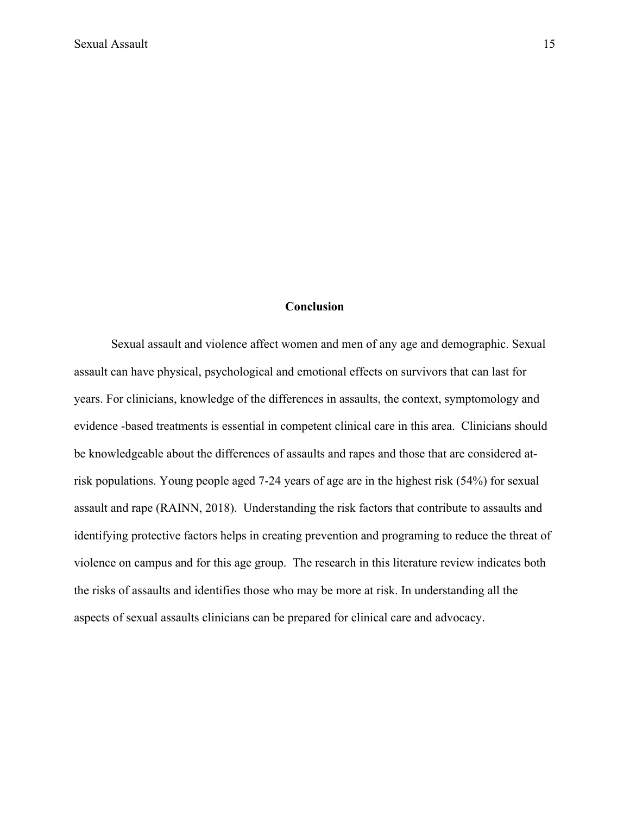#### **Conclusion**

Sexual assault and violence affect women and men of any age and demographic. Sexual assault can have physical, psychological and emotional effects on survivors that can last for years. For clinicians, knowledge of the differences in assaults, the context, symptomology and evidence -based treatments is essential in competent clinical care in this area. Clinicians should be knowledgeable about the differences of assaults and rapes and those that are considered atrisk populations. Young people aged 7-24 years of age are in the highest risk (54%) for sexual assault and rape (RAINN, 2018). Understanding the risk factors that contribute to assaults and identifying protective factors helps in creating prevention and programing to reduce the threat of violence on campus and for this age group. The research in this literature review indicates both the risks of assaults and identifies those who may be more at risk. In understanding all the aspects of sexual assaults clinicians can be prepared for clinical care and advocacy.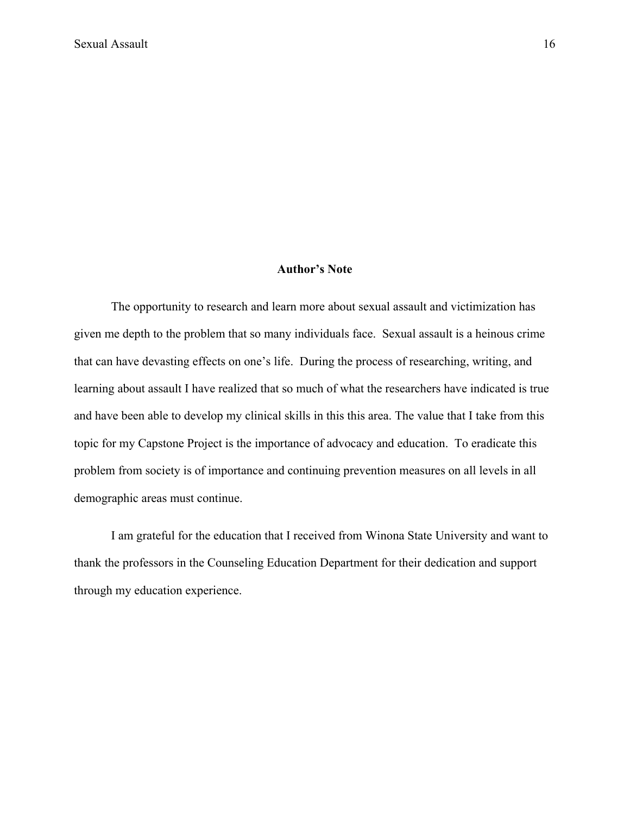# **Author's Note**

The opportunity to research and learn more about sexual assault and victimization has given me depth to the problem that so many individuals face. Sexual assault is a heinous crime that can have devasting effects on one's life. During the process of researching, writing, and learning about assault I have realized that so much of what the researchers have indicated is true and have been able to develop my clinical skills in this this area. The value that I take from this topic for my Capstone Project is the importance of advocacy and education. To eradicate this problem from society is of importance and continuing prevention measures on all levels in all demographic areas must continue.

I am grateful for the education that I received from Winona State University and want to thank the professors in the Counseling Education Department for their dedication and support through my education experience.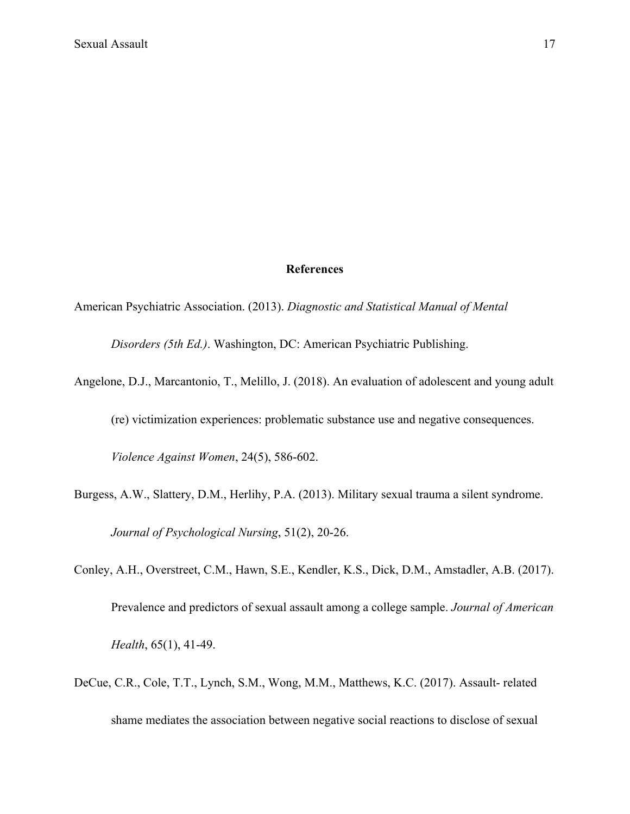#### **References**

American Psychiatric Association. (2013). *Diagnostic and Statistical Manual of Mental* 

*Disorders (5th Ed.)*. Washington, DC: American Psychiatric Publishing.

Angelone, D.J., Marcantonio, T., Melillo, J. (2018). An evaluation of adolescent and young adult

(re) victimization experiences: problematic substance use and negative consequences.

*Violence Against Women*, 24(5), 586-602.

- Burgess, A.W., Slattery, D.M., Herlihy, P.A. (2013). Military sexual trauma a silent syndrome. *Journal of Psychological Nursing*, 51(2), 20-26.
- Conley, A.H., Overstreet, C.M., Hawn, S.E., Kendler, K.S., Dick, D.M., Amstadler, A.B. (2017). Prevalence and predictors of sexual assault among a college sample. *Journal of American Health*, 65(1), 41-49.
- DeCue, C.R., Cole, T.T., Lynch, S.M., Wong, M.M., Matthews, K.C. (2017). Assault- related shame mediates the association between negative social reactions to disclose of sexual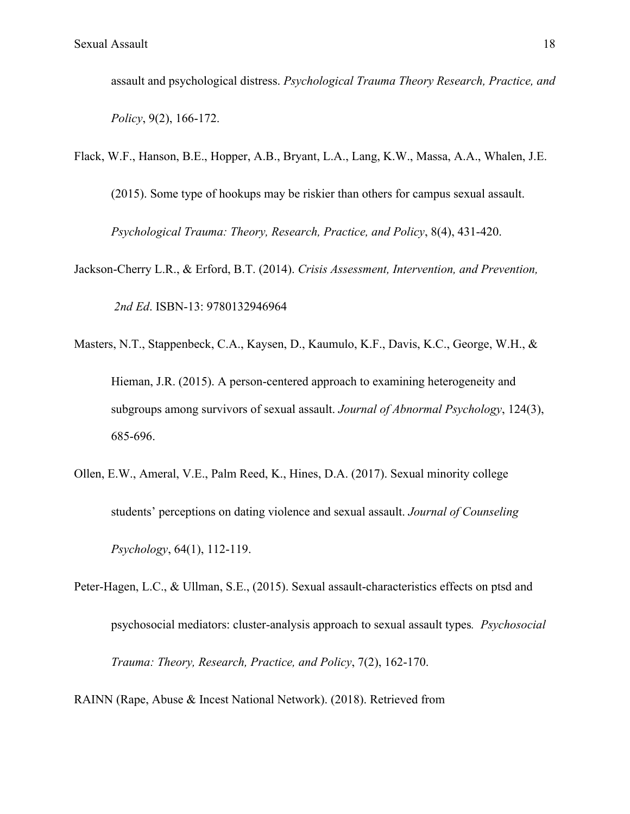assault and psychological distress. *Psychological Trauma Theory Research, Practice, and Policy*, 9(2), 166-172.

- Flack, W.F., Hanson, B.E., Hopper, A.B., Bryant, L.A., Lang, K.W., Massa, A.A., Whalen, J.E. (2015). Some type of hookups may be riskier than others for campus sexual assault. *Psychological Trauma: Theory, Research, Practice, and Policy*, 8(4), 431-420.
- Jackson-Cherry L.R., & Erford, B.T. (2014). *Crisis Assessment, Intervention, and Prevention, 2nd Ed*. ISBN-13: 9780132946964
- Masters, N.T., Stappenbeck, C.A., Kaysen, D., Kaumulo, K.F., Davis, K.C., George, W.H., & Hieman, J.R. (2015). A person-centered approach to examining heterogeneity and subgroups among survivors of sexual assault. *Journal of Abnormal Psychology*, 124(3), 685-696.
- Ollen, E.W., Ameral, V.E., Palm Reed, K., Hines, D.A. (2017). Sexual minority college students' perceptions on dating violence and sexual assault. *Journal of Counseling Psychology*, 64(1), 112-119.
- Peter-Hagen, L.C., & Ullman, S.E., (2015). Sexual assault-characteristics effects on ptsd and psychosocial mediators: cluster-analysis approach to sexual assault types*. Psychosocial Trauma: Theory, Research, Practice, and Policy*, 7(2), 162-170.
- RAINN (Rape, Abuse & Incest National Network). (2018). Retrieved from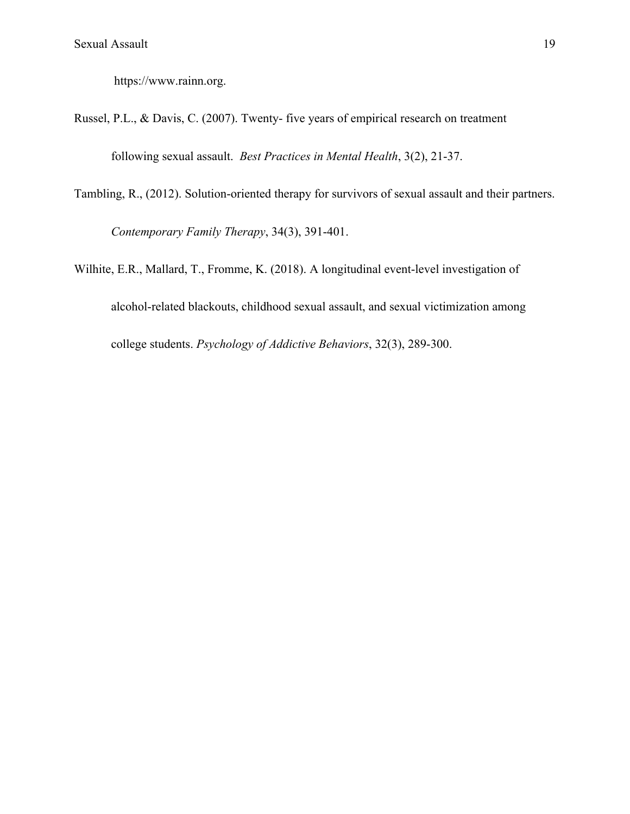https://www.rainn.org.

- Russel, P.L., & Davis, C. (2007). Twenty- five years of empirical research on treatment following sexual assault. *Best Practices in Mental Health*, 3(2), 21-37.
- Tambling, R., (2012). Solution-oriented therapy for survivors of sexual assault and their partners. *Contemporary Family Therapy*, 34(3), 391-401.
- Wilhite, E.R., Mallard, T., Fromme, K. (2018). A longitudinal event-level investigation of alcohol-related blackouts, childhood sexual assault, and sexual victimization among college students. *Psychology of Addictive Behaviors*, 32(3), 289-300.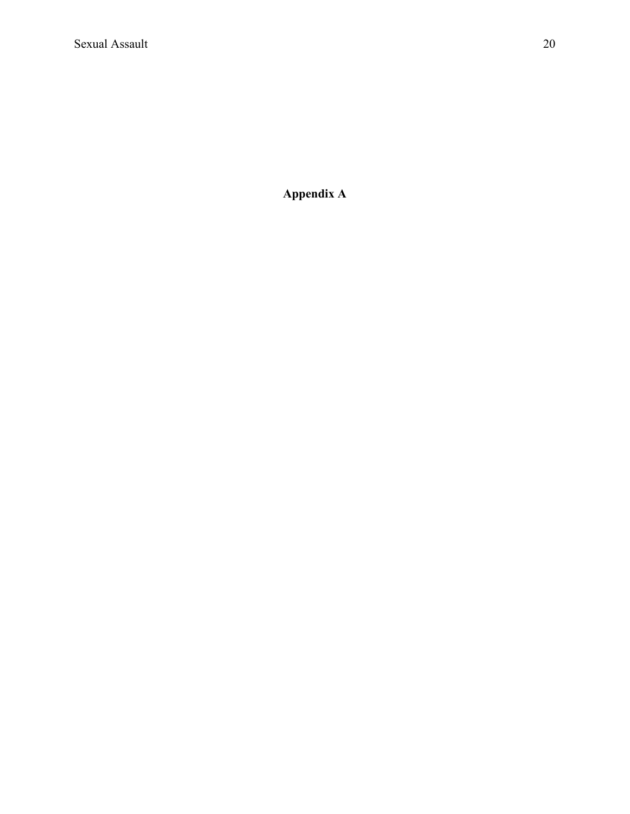**Appendix A**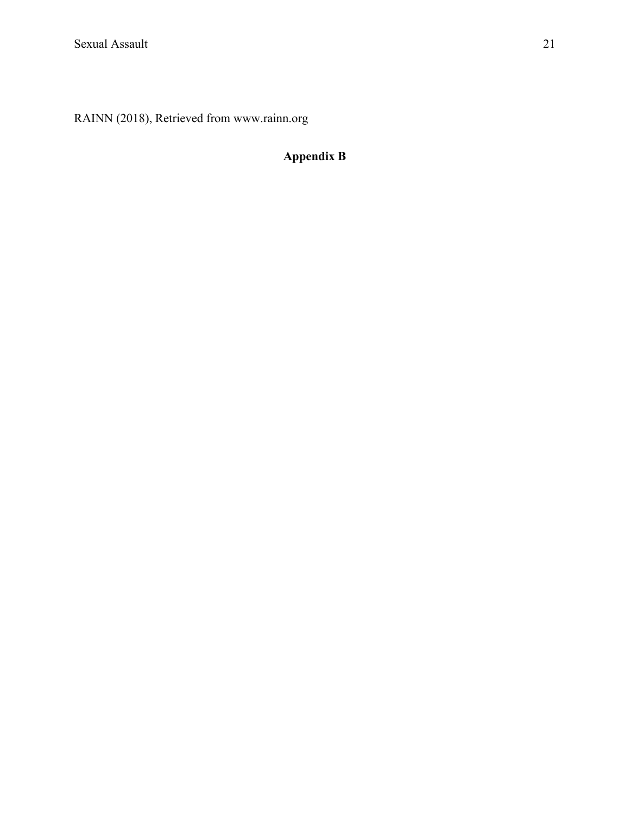RAINN (2018), Retrieved from www.rainn.org

# **Appendix B**